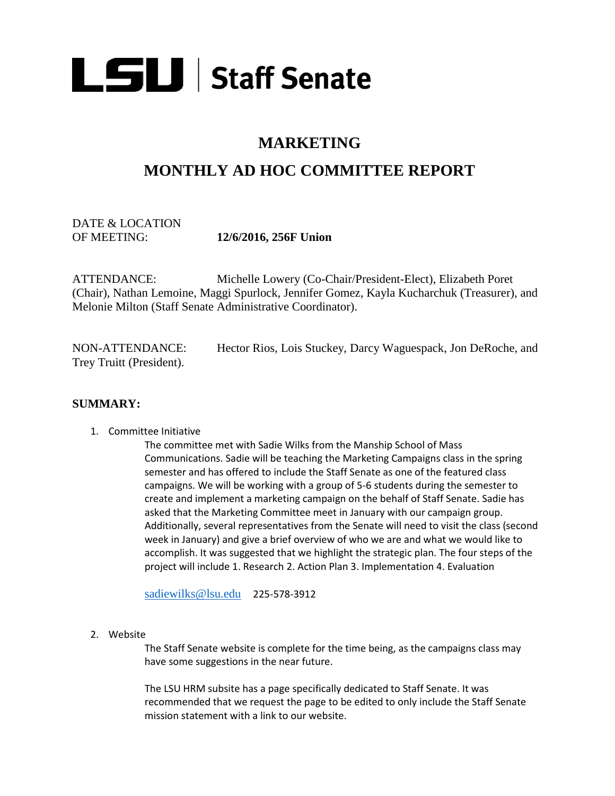

## **MARKETING**

# **MONTHLY AD HOC COMMITTEE REPORT**

## DATE & LOCATION OF MEETING: **12/6/2016, 256F Union**

ATTENDANCE: Michelle Lowery (Co-Chair/President-Elect), Elizabeth Poret (Chair), Nathan Lemoine, Maggi Spurlock, Jennifer Gomez, Kayla Kucharchuk (Treasurer), and Melonie Milton (Staff Senate Administrative Coordinator).

NON-ATTENDANCE: Hector Rios, Lois Stuckey, Darcy Waguespack, Jon DeRoche, and Trey Truitt (President).

#### **SUMMARY:**

1. Committee Initiative

The committee met with Sadie Wilks from the Manship School of Mass Communications. Sadie will be teaching the Marketing Campaigns class in the spring semester and has offered to include the Staff Senate as one of the featured class campaigns. We will be working with a group of 5-6 students during the semester to create and implement a marketing campaign on the behalf of Staff Senate. Sadie has asked that the Marketing Committee meet in January with our campaign group. Additionally, several representatives from the Senate will need to visit the class (second week in January) and give a brief overview of who we are and what we would like to accomplish. It was suggested that we highlight the strategic plan. The four steps of the project will include 1. Research 2. Action Plan 3. Implementation 4. Evaluation

[sadiewilks@lsu.edu](mailto:sadiewilks@lsu.edu) 225-578-3912

2. Website

The Staff Senate website is complete for the time being, as the campaigns class may have some suggestions in the near future.

The LSU HRM subsite has a page specifically dedicated to Staff Senate. It was recommended that we request the page to be edited to only include the Staff Senate mission statement with a link to our website.